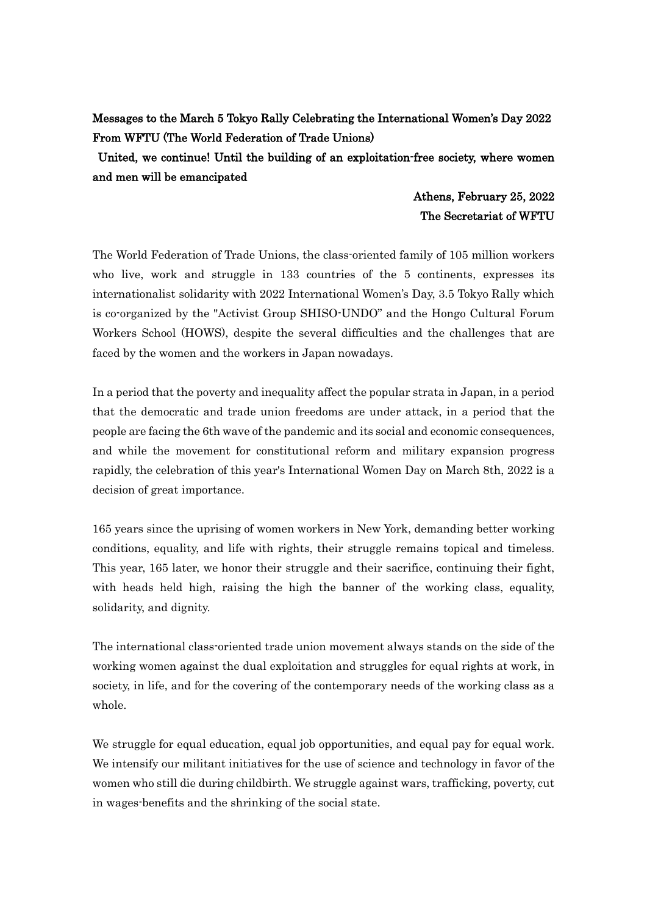## Messages to the March 5 Tokyo Rally Celebrating the International Women's Day 2022 From WFTU (The World Federation of Trade Unions)

 United, we continue! Until the building of an exploitation-free society, where women and men will be emancipated

## Athens, February 25, 2022 The Secretariat of WFTU

The World Federation of Trade Unions, the class-oriented family of 105 million workers who live, work and struggle in 133 countries of the 5 continents, expresses its internationalist solidarity with 2022 International Women's Day, 3.5 Tokyo Rally which is co-organized by the "Activist Group SHISO-UNDO" and the Hongo Cultural Forum Workers School (HOWS), despite the several difficulties and the challenges that are faced by the women and the workers in Japan nowadays.

In a period that the poverty and inequality affect the popular strata in Japan, in a period that the democratic and trade union freedoms are under attack, in a period that the people are facing the 6th wave of the pandemic and its social and economic consequences, and while the movement for constitutional reform and military expansion progress rapidly, the celebration of this year's International Women Day on March 8th, 2022 is a decision of great importance.

165 years since the uprising of women workers in New York, demanding better working conditions, equality, and life with rights, their struggle remains topical and timeless. This year, 165 later, we honor their struggle and their sacrifice, continuing their fight, with heads held high, raising the high the banner of the working class, equality, solidarity, and dignity.

The international class-oriented trade union movement always stands on the side of the working women against the dual exploitation and struggles for equal rights at work, in society, in life, and for the covering of the contemporary needs of the working class as a whole.

We struggle for equal education, equal job opportunities, and equal pay for equal work. We intensify our militant initiatives for the use of science and technology in favor of the women who still die during childbirth. We struggle against wars, trafficking, poverty, cut in wages-benefits and the shrinking of the social state.